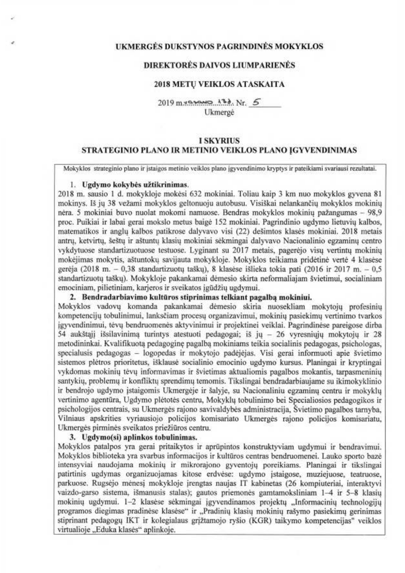#### UKMERGĖS DUKSTYNOS PAGRINDINĖS MOKYKLOS

# DIREKTORĖS DAIVOS LIUMPARIENĖS

#### 2018 METU VEIKLOS ATASKAITA

Ukmergê

#### **I SKYRIUS** STRATEGINIO PLANO IR METINIO VEIKLOS PLANO IGYVENDINIMAS

Mokyklos strateginio plano ir istaigos metinio veiklos plano igyvendinimo kryptys ir pateikiami svariausi rezultatai.

#### 1. Ugdymo kokybės užtikrinimas.

2018 m. sausio 1 d. mokykloje mokėsi 632 mokiniai. Toliau kaip 3 km nuo mokyklos gyvena 81 mokinys. Iš ju 38 vežami mokyklos geltonuoju autobusu. Visiškai nelankančių mokyklos mokinių nėra. 5 mokiniai buvo nuolat mokomi namuose. Bendras mokyklos mokiniu pažangumas - 98,9 proc. Puikiai ir labai gerai mokslo metus baigė 152 mokiniai. Pagrindinio ugdymo lietuvių kalbos, matematikos ir anglų kalbos patikrose dalyvavo visi (22) dešimtos klasės mokiniai. 2018 metais antru, ketvirtu, šeštu ir aštuntu klasiu mokiniai sėkmingai dalyvavo Nacionalinio egzaminu centro vykdytuose standartizuotuose testuose. Lyginant su 2017 metais, pagerėjo visu vertintu mokiniu mokėjimas mokytis, aštuntoku savijauta mokykloje. Mokyklos teikiama pridėtinė vertė 4 klasėse gerėja (2018 m. - 0,38 standartizuotų taškų), 8 klasėse išlieka tokia pati (2016 ir 2017 m. - 0,5 standartizuotu tašku). Mokykloje pakankamai dėmesio skirta neformaliajam švietimui, socialiniam emociniam, pilietiniam, karjeros ir sveikatos įgūdžių ugdymui.

#### 2. Bendradarbiavimo kultūros stiprinimas telkiant pagalba mokiniui.

Mokyklos vadovu komanda pakankamai dėmesio skiria nuosekliam mokytoju profesiniu kompetencijų tobulinimui, lanksčiam procesų organizavimui, mokinių pasiekimų vertinimo tvarkos igyvendinimui, tėvų bendruomenės aktyvinimui ir projektinei veiklai. Pagrindinėse pareigose dirba 54 aukštaji išsilavinima turintys atestuoti pedagogai; iš jų - 26 vyresniųjų mokytojų ir 28 metodininkai. Kvalifikuota pedagoginę pagalba mokiniams teikia socialinis pedagogas, psichologas, specialusis pedagogas - logopedas ir mokytojo padėjėjas. Visi gerai informuoti apie švietimo sistemos plėtros prioritetus, išklausė socialinio emocinio ugdymo kursus. Planingai ir kryptingai vykdomas mokinių tėvų informavimas ir švietimas aktualiomis pagalbos mokantis, tarpasmeninių santykių, problemų ir konfliktų sprendimų temomis. Tikslingai bendradarbiaujame su ikimokyklinio ir bendrojo ugdymo įstaigomis Ukmergėje ir šalyje, su Nacionaliniu egzaminu centru ir mokyklu vertinimo agentūra. Ugdymo plėtotės centru, Mokyklu tobulinimo bei Specialiosios pedagogikos ir psichologijos centrais, su Ukmergės rajono savivaldybės administracija, Švietimo pagalbos tarnyba, Vilniaus apskrities vyriausiojo policijos komisariato Ukmergės rajono policijos komisariatu, Ukmergės pirminės sveikatos priežiūros centru.

# 3. Ugdymo(si) aplinkos tobulinimas.

Mokyklos patalpos yra gerai pritaikytos ir aprūpintos konstruktyviam ugdymui ir bendravimui. Mokyklos biblioteka yra svarbus informacijos ir kultūros centras bendruomenei. Lauko sporto bazė intensyviai naudojama mokinių ir mikrorajono gyventojų poreikiams. Planingai ir tikslingai patirtinis ugdymas organizuojamas kitose erdvėse: ugdymo įstaigose, muziejuose, teatruose, parkuose. Rugsėjo mėnesį mokykloje įrengtas naujas IT kabinetas (26 kompiuteriai, interaktyvi vaizdo-garso sistema, išmanusis stalas); gautos priemonės gamtamoksliniam 1-4 ir 5-8 klasiu mokiniu ugdymui. 1-2 klasėse sėkmingai įgyvendinamos projektų "Informacinių technologijų programos diegimas pradinėse klasėse" ir "Pradinių klasių mokinių rašymo pasiekimų gerinimas stiprinant pedagogų IKT ir kolegialaus grįžtamojo ryšio (KGR) taikymo kompetencijas" veiklos virtualioje "Eduka klasės" aplinkoje.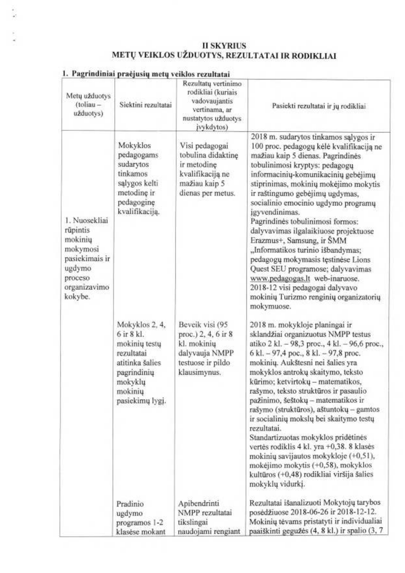# II SKYRIUS<br>METŲ VEIKLOS UŽDUOTYS, REZULTATAI IR RODIKLIAI

|                                                                                                                    | gr.  pracjusių metų veikius rezultatai                                                                                                     |                                                                                                                  |                                                                                                                                                                                                                                                                                                                                                                                                                                                                                                                                                                                                                                                                                                        |
|--------------------------------------------------------------------------------------------------------------------|--------------------------------------------------------------------------------------------------------------------------------------------|------------------------------------------------------------------------------------------------------------------|--------------------------------------------------------------------------------------------------------------------------------------------------------------------------------------------------------------------------------------------------------------------------------------------------------------------------------------------------------------------------------------------------------------------------------------------------------------------------------------------------------------------------------------------------------------------------------------------------------------------------------------------------------------------------------------------------------|
| Metų užduotys<br>$(toliau -$<br>užduotys)                                                                          | Siektini rezultatai                                                                                                                        | Rezultatų vertinimo<br>rodikliai (kuriais<br>vadovaujantis<br>vertinama, ar<br>nustatytos užduotys<br>jvykdytos) | Pasiekti rezultatai ir jų rodikliai.                                                                                                                                                                                                                                                                                                                                                                                                                                                                                                                                                                                                                                                                   |
| 1. Nuosekliai<br>rūpintis<br>mokinių<br>mokymosi<br>pasiekimais ir<br>ugdymo<br>proceso<br>organizavimo<br>kokybe. | Mokyklos<br>pedagogams<br>sudarytos<br>tinkamos<br>salygos kelti<br>metodine ir<br>pedagogine<br>kvalifikaciją.                            | Visi pedagogai<br>tobulina didaktine<br>ir metodinę<br>kvalifikacija ne<br>mažiau kaip 5<br>dienas per metus.    | 2018 m. sudarytos tinkamos sąlygos ir<br>100 proc. pedagogų kėlė kvalifikaciją ne<br>mažiau kaip 5 dienas. Pagrindinės<br>tobulinimosi kryptys: pedagogų<br>informacinių-komunikacinių gebėjimų<br>stiprinimas, mokinių mokėjimo mokytis<br>ir raštingumo gebėjimų ugdymas,<br>socialinio emocinio ugdymo programų<br>igyvendinimas.<br>Pagrindinės tobulinimosi formos:<br>dalyvavimas ilgalaikiuose projektuose<br>Erazmus+, Samsung, ir SMM<br>"Informatikos turinio išbandymas;<br>pedagogų mokymasis tęstinėse Lions<br>Quest SEU programose; dalyvavimas<br>www.pedagogas.lt web-inaruose.<br>2018-12 visi pedagogai dalyvavo<br>mokinių Turizmo renginių organizatorių<br>mokymuose.            |
|                                                                                                                    | Mokyklos 2, 4,<br>$6$ ir $8$ kl.<br>mokinių testų<br>rezultatai<br>atitinka šalies<br>pagrindinių<br>mokyklų<br>mokinių<br>pasiekimų lygi. | Beveik visi (95<br>proc.) 2, 4, 6 ir 8<br>kl. mokiniu<br>dalyvauja NMPP<br>testuose ir pildo<br>klausimynus.     | 2018 m. mokykloje planingai ir<br>sklandžiai organizuotus NMPP testus<br>atiko 2 kl. - 98,3 proc., 4 kl. - 96,6 proc.,<br>6 kl. – 97,4 poc., 8 kl. – 97,8 proc.<br>mokinių. Aukštesni nei šalies yra<br>mokyklos antrokų skaitymo, teksto<br>kūrimo; ketvirtokų - matematikos,<br>rašymo, teksto struktūros ir pasaulio<br>pažinimo, šeštokų – matematikos ir<br>rašymo (struktūros), aštuntokų - gamtos<br>ir socialinių mokslų bei skaitymo testų<br>rezultatai.<br>Standartizuotas mokyklos pridėtinės<br>vertės rodiklis 4 kl. yra +0,38. 8 klasės<br>mokinių savijautos mokykloje (+0,51),<br>mokėjimo mokytis (+0,58), mokyklos<br>kultūros (+0,48) rodikliai viršija šalies<br>mokyklų vidurkį. |
|                                                                                                                    | Pradinio<br>ugdymo<br>programos 1-2<br>klasése mokant                                                                                      | Apibendrinti<br>NMPP rezultatai<br>tikslingai<br>naudojami rengiant                                              | Rezultatai išanalizuoti Mokytojų tarybos<br>posėdžiuose 2018-06-26 ir 2018-12-12.<br>Mokinių tėvams pristatyti ir individualiai<br>paaiškinti gegužės (4, 8 kl.) ir spalio (3, 7                                                                                                                                                                                                                                                                                                                                                                                                                                                                                                                       |

# 1. Pagrindiniai praėjusių metų veiklos rezultatai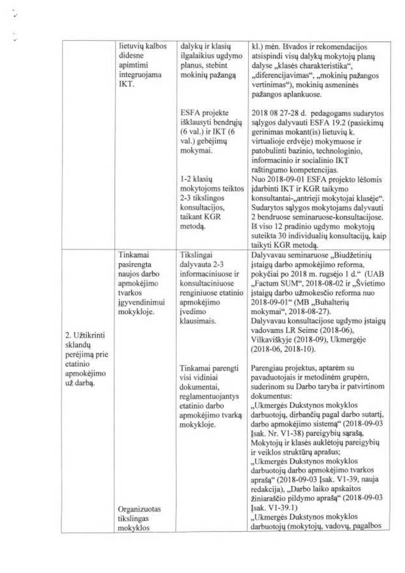|                                           | lietuvių kalbos<br>didesne<br>apimtimi<br>integruojama<br>IKT.                                 | dalykų ir klasių<br>ilgalaikius ugdymo<br>planus, stebint<br>mokinių pažangą                                                          | kl.) mėn. Išvados ir rekomendacijos<br>atsispindi visu dalyku mokytoju planu<br>dalyse "klasės charakteristika",<br>"diferencijavimas", "mokinių pažangos<br>vertinimas"), mokinių asmeninės<br>pažangos aplankuose.                                                                                                                                                                                                                                                                                                                                                                           |
|-------------------------------------------|------------------------------------------------------------------------------------------------|---------------------------------------------------------------------------------------------------------------------------------------|------------------------------------------------------------------------------------------------------------------------------------------------------------------------------------------------------------------------------------------------------------------------------------------------------------------------------------------------------------------------------------------------------------------------------------------------------------------------------------------------------------------------------------------------------------------------------------------------|
|                                           |                                                                                                | ESFA projekte<br>išklausyti bendrųjų<br>(6 val.) ir IKT (6<br>val.) gebėjimų<br>mokymai.                                              | 2018 08 27-28 d. pedagogams sudarytos<br>sąlygos dalyvauti ESFA 19.2 (pasiekimų<br>gerinimas mokant(is) lietuvių k.<br>virtualioje erdvėje) mokymuose ir<br>patobulinti bazinio, technologinio,<br>informacinio ir socialinio IKT                                                                                                                                                                                                                                                                                                                                                              |
|                                           |                                                                                                | 1-2 klasių<br>mokytojoms teiktos<br>2-3 tikslingos<br>konsultacijos,<br>taikant KGR<br>metodą.                                        | raštingumo kompetencijas.<br>Nuo 2018-09-01 ESFA projekto lėšomis<br>jdarbinti IKT ir KGR taikymo<br>konsultantai-"antrieji mokytojai klasėje".<br>Sudarytos sąlygos mokytojams dalyvauti<br>2 bendruose seminaruose-konsultacijose.<br>Iš viso 12 pradinio ugdymo mokytojų<br>suteikta 30 individualių konsultacijų, kaip<br>taikyti KGR metodą.                                                                                                                                                                                                                                              |
| 2. Užtikrinti<br>sklandų<br>perėjimą prie | Tinkamai<br>pasirengta<br>naujos darbo<br>apmokėjimo<br>tvarkos<br>igyvendinimui<br>mokykloje. | Tikslingai<br>dalyvauta 2-3<br>informaciniuose ir<br>konsultaciniuose<br>renginiuose etatinio<br>apmokėjimo<br>ivedimo<br>klausimais. | Dalyvavau seminaruose "Biudžetinių<br>įstaigų darbo apmokėjimo reforma,<br>pokyčiai po 2018 m. rugsėjo 1 d." (UAB<br>"Factum SUM", 2018-08-02 ir "Švietimo<br>įstaigų darbo užmokesčio reforma nuo<br>2018-09-01" (MB "Buhalteriu<br>mokymai", 2018-08-27).<br>Dalyvavau konsultacijose ugdymo įstaigų<br>vadovams LR Seime (2018-06),<br>Vilkaviškyje (2018-09), Ukmergėje<br>$(2018-06, 2018-10).$                                                                                                                                                                                           |
| etatinio<br>apmokėjimo<br>už darba.       | Organizuotas                                                                                   | Tinkamai parengti<br>visi vidiniai<br>dokumentai,<br>reglamentuojantys<br>etatinio darbo<br>apmokėjimo tvarką<br>mokykloje.           | Parengiau projektus, aptarėm su<br>pavaduotojais ir metodinėm grupėm,<br>suderinom su Darbo taryba ir patvirtinom<br>dokumentus:<br>"Ukmergės Dukstynos mokyklos<br>darbuotojų, dirbančių pagal darbo sutartį,<br>darbo apmokėjimo sistemą" (2018-09-03<br>Isak. Nr. V1-38) pareigybių sąrašą,<br>Mokytojų ir klasės auklėtojų pareigybių<br>ir veiklos struktūrų aprašus;<br>"Ukmergės Dukstynos mokyklos<br>darbuotojų darbo apmokėjimo tvarkos<br>aprašą" (2018-09-03 Įsak. V1-39, nauja<br>redakcija), "Darbo laiko apskaitos<br>žiniaraščio pildymo aprašą" (2018-09-03<br>Isak. V1-39.1) |
|                                           | tikslingas<br>mokyklos                                                                         |                                                                                                                                       | "Ukmergės Dukstynos mokyklos<br>darbuotojų (mokytojų, vadovų, pagalbos                                                                                                                                                                                                                                                                                                                                                                                                                                                                                                                         |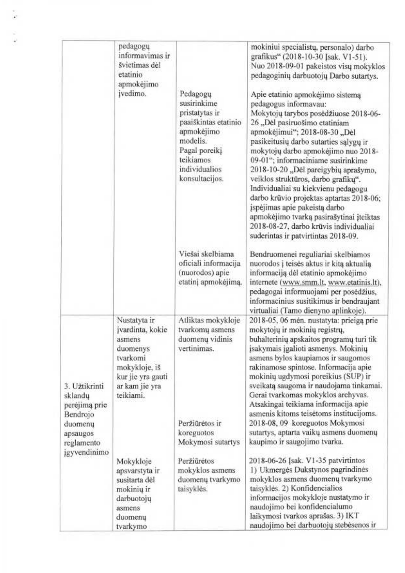|                                                                                            | pedagogu<br>informavimas ir<br>švietimas dėl<br>etatinio<br>apmokėjimo<br>įvedimo.                                                      | Pedagogu<br>susirinkime<br>pristatytas ir<br>paaiškintas etatinio<br>apmokėjimo<br>modelis.<br>Pagal poreiki<br>teikiamos<br>individualios<br>konsultacijos. | mokiniui specialistų, personalo) darbo<br>grafikus" (2018-10-30 Jsak. V1-51).<br>Nuo 2018-09-01 pakeistos visų mokyklos<br>pedagoginių darbuotojų Darbo sutartys.<br>Apie etatinio apmokėjimo sistemą<br>pedagogus informavau:<br>Mokytojų tarybos posėdžiuose 2018-06-<br>26 "Dėl pasiruošimo etatiniam<br>apmokėjimui"; 2018-08-30 "Dėl<br>pasikeitusių darbo sutarties sąlygų ir<br>mokytojų darbo apmokėjimo nuo 2018-<br>09-01"; informaciniame susirinkime<br>2018-10-20 "Dėl pareigybių aprašymo,<br>veiklos struktūros, darbo grafikų".<br>Individualiai su kiekvienu pedagogu<br>darbo krūvio projektas aptartas 2018-06;<br>įspėjimas apie pakeistą darbo<br>apmokėjimo tvarką pasirašytinai įteiktas<br>2018-08-27, darbo krūvis individualiai<br>suderintas ir patvirtintas 2018-09. |
|--------------------------------------------------------------------------------------------|-----------------------------------------------------------------------------------------------------------------------------------------|--------------------------------------------------------------------------------------------------------------------------------------------------------------|--------------------------------------------------------------------------------------------------------------------------------------------------------------------------------------------------------------------------------------------------------------------------------------------------------------------------------------------------------------------------------------------------------------------------------------------------------------------------------------------------------------------------------------------------------------------------------------------------------------------------------------------------------------------------------------------------------------------------------------------------------------------------------------------------|
|                                                                                            |                                                                                                                                         | Viešai skelbiama<br>oficiali informacija<br>(nuorodos) apie<br>etatinį apmokėjimą.                                                                           | Bendruomenei reguliariai skelbiamos<br>nuorodos į teisės aktus ir kitą aktualią<br>informaciją dėl etatinio apmokėjimo<br>internete (www.smm.lt, www.etatinis.lt),<br>pedagogai informuojami per posėdžius,<br>informacinius susitikimus ir bendraujant<br>virtualiai (Tamo dienyno aplinkoje).                                                                                                                                                                                                                                                                                                                                                                                                                                                                                                  |
| 3. Užtikrinti<br>sklandų<br>perėjimą prie<br>Bendrojo<br>duomenu<br>apsaugos<br>reglamento | Nustatyta ir<br>įvardinta, kokie<br>asmens<br>duomenys<br>tvarkomi<br>mokykloje, iš<br>kur jie yra gauti<br>ar kam jie yra<br>teikiami. | Atliktas mokykloje<br>tvarkomų asmens<br>duomenų vidinis<br>vertinimas.<br>Peržiūrėtos ir<br>koreguotos<br>Mokymosi sutartys                                 | 2018-05, 06 mén. nustatyta: prieiga prie<br>mokytojų ir mokinių registrų,<br>buhalterinių apskaitos programų turi tik<br>įsakymais įgalioti asmenys. Mokinių<br>asmens bylos kaupiamos ir saugomos<br>rakinamose spintose. Informacija apie<br>mokinių ugdymosi poreikius (SUP) ir<br>sveikatą saugoma ir naudojama tinkamai.<br>Gerai tvarkomas mokyklos archyvas.<br>Atsakingai teikiama informacija apie<br>asmenis kitoms teisėtoms institucijoms.<br>2018-08, 09 koreguotos Mokymosi<br>sutartys, aptarta vaikų asmens duomenų<br>kaupimo ir saugojimo tvarka.                                                                                                                                                                                                                              |
| igyvendinimo                                                                               | Mokykloje<br>apsvarstyta ir<br>susitarta dėl<br>mokinių ir<br>darbuotojų<br>asmens<br>duomenų<br>tvarkymo                               | Peržiūrėtos<br>mokyklos asmens<br>duomenų tvarkymo<br>taisyklės.                                                                                             | 2018-06-26 [sak. V1-35 patvirtintos<br>1) Ukmergės Dukstynos pagrindinės<br>mokyklos asmens duomenų tvarkymo<br>taisyklės. 2) Konfidencialios<br>informacijos mokykloje nustatymo ir<br>naudojimo bei konfidencialumo<br>laikymosi tvarkos aprašas. 3) IKT<br>naudojimo bei darbuotojų stebėsenos ir                                                                                                                                                                                                                                                                                                                                                                                                                                                                                             |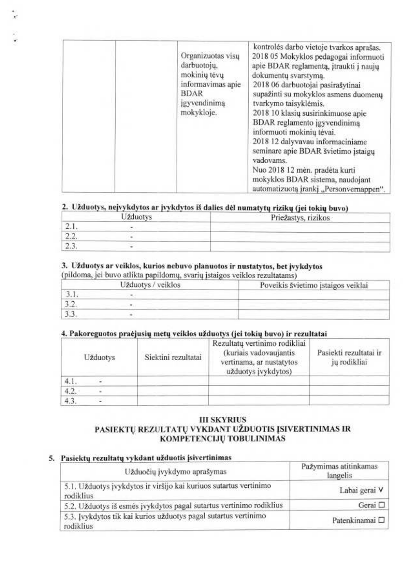|  | Organizuotas visų<br>darbuotojų,<br>mokinių tėvų<br>informavimas apie<br><b>BDAR</b><br>igyvendinimą<br>mokykloje. | kontrolės darbo vietoje tvarkos aprašas.<br>2018 05 Mokyklos pedagogai informuoti<br>apie BDAR reglamentą, įtraukti į naujų<br>dokumentų svarstymą.<br>2018 06 darbuotojai pasirašytinai<br>supažinti su mokyklos asmens duomenu<br>tvarkymo taisyklėmis.<br>2018 10 klasių susirinkimuose apie<br>BDAR reglamento jgyvendinimą<br>informuoti mokinių tėvai.<br>2018 12 dalyvavau informaciniame<br>seminare apie BDAR švietimo įstaigų<br>vadovams.<br>Nuo 2018 12 mėn. pradėta kurti<br>mokyklos BDAR sistema, naudojant<br>automatizuotą įrankį "Personvernappen". |
|--|--------------------------------------------------------------------------------------------------------------------|-----------------------------------------------------------------------------------------------------------------------------------------------------------------------------------------------------------------------------------------------------------------------------------------------------------------------------------------------------------------------------------------------------------------------------------------------------------------------------------------------------------------------------------------------------------------------|
|--|--------------------------------------------------------------------------------------------------------------------|-----------------------------------------------------------------------------------------------------------------------------------------------------------------------------------------------------------------------------------------------------------------------------------------------------------------------------------------------------------------------------------------------------------------------------------------------------------------------------------------------------------------------------------------------------------------------|

# 2. Užduotys, nejvykdytos ar įvykdytos iš dalies dėl numatytų rizikų (jei tokių buvo)

| Užduotys |  | Priežastys, rizikos |  |
|----------|--|---------------------|--|
|          |  |                     |  |
|          |  |                     |  |
|          |  |                     |  |

# 3. Užduotys ar veiklos, kurios nebuvo planuotos ir nustatytos, bet įvykdytos

(pildoma, jei buvo atlikta papildomų, svarių įstaigos veiklos rezultatams)

| Užduotys / veiklos |  | Poveikis švietimo įstaigos veiklai |
|--------------------|--|------------------------------------|
|                    |  |                                    |
|                    |  |                                    |
|                    |  |                                    |

# 4. Pakoreguotos praėjusių metų veiklos užduotys (jei tokių buvo) ir rezultatai

| Užduotys |  | Siektini rezultatai | Rezultatų vertinimo rodikliai<br>(kuriais vadovaujantis<br>vertinama, ar nustatytos<br>užduotys įvykdytos) | Pasiekti rezultatai ir<br>jų rodikliai |
|----------|--|---------------------|------------------------------------------------------------------------------------------------------------|----------------------------------------|
|          |  |                     |                                                                                                            |                                        |
|          |  |                     |                                                                                                            |                                        |
|          |  |                     |                                                                                                            |                                        |

# **III SKYRIUS** PASIEKTŲ REZULTATŲ VYKDANT UŽDUOTIS ĮSIVERTINIMAS IR KOMPETENCIJŲ TOBULINIMAS

# 5. Pasiektų rezultatų vykdant užduotis įsivertinimas

| Užduočių įvykdymo aprašymas                                                    | Pažymimas atitinkamas<br>langelis |
|--------------------------------------------------------------------------------|-----------------------------------|
| 5.1. Užduotys įvykdytos ir viršijo kai kuriuos sutartus vertinimo<br>rodiklius | Labai gerai V                     |
| 5.2. Užduotys iš esmės įvykdytos pagal sutartus vertinimo rodiklius            | Gerai $\square$                   |
| 5.3. Įvykdytos tik kai kurios užduotys pagal sutartus vertinimo<br>rodiklius   | Patenkinamai □                    |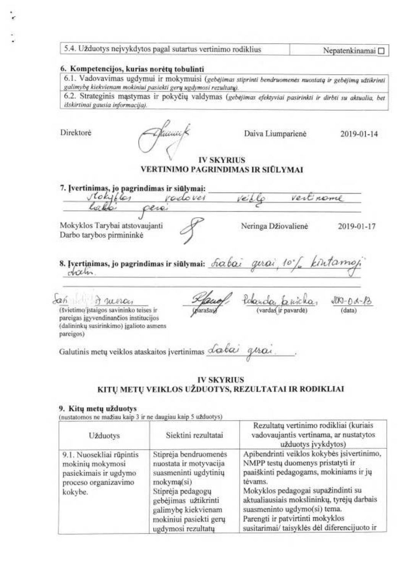| 5.4. Užduotys neįvykdytos pagal sutartus vertinimo rodiklius | Nepatenkinamai □ |
|--------------------------------------------------------------|------------------|
|--------------------------------------------------------------|------------------|

#### 6. Kompetencijos, kurias norėtų tobulinti

6.1. Vadovavimas ugdymui ir mokymuisi (gebėjimas stiprinti bendruomenės nuostatą ir gebėjimą užtikrinti galimybę kiekvienam mokiniui pasiekti gerų ugdymosi rezultatų).

6.2. Strateginis mąstymas ir pokyčių valdymas (gebėjimas efektyviai pasirinkti ir dirbti su aktualia, bet išskirtinai gausia informacija).

Direktorė

Daiva Liumparienė

2019-01-14

# **IV SKYRIUS** VERTINIMO PAGRINDIMAS IR SIŪLYMAI

7. Įvertinimas, jo pagrindimas ir siūlymai: stokylles redover Vertinone pere Mokyklos Tarybai atstovaujanti Neringa Džiovalienė 2019-01-17 Darbo tarybos pirmininkė 8. Įvertinimas, jo pagrindimas ir siūlymai: habai gerai 10 dalen. Lah dana <u>Pokenda, bricka</u>,  $\frac{\sqrt[3]{00-0}$  A- $\frac{1}{2}$ <br>(data) (švietimo/įstaigos savininko teises ir pareigas igyvendinančios institucijos (dalininkų susirinkimo) įgalioto asmens pareigos) Galutinis metų veiklos ataskaitos įvertinimas dabai

# **IV SKYRIUS**

# KITŲ METŲ VEIKLOS UŽDUOTYS, REZULTATAI IR RODIKLIAI

#### 9. Kitų metų užduotys

(nustatomos ne mažiau kaip 3 ir ne daugiau kaip 5 užduotys)

| <b>Užduotys</b>                                                                                          | Siektini rezultatai                                                                                                                                                                                        | Rezultatų vertinimo rodikliai (kuriais<br>vadovaujantis vertinama, ar nustatytos<br>užduotys įvykdytos)                                                                                                                                                                                                                                      |
|----------------------------------------------------------------------------------------------------------|------------------------------------------------------------------------------------------------------------------------------------------------------------------------------------------------------------|----------------------------------------------------------------------------------------------------------------------------------------------------------------------------------------------------------------------------------------------------------------------------------------------------------------------------------------------|
| 9.1. Nuosekliai rūpintis<br>mokinių mokymosi<br>pasiekimais ir ugdymo<br>proceso organizavimo<br>kokybe. | Stiprėja bendruomenės<br>nuostata ir motyvacija<br>suasmeninti ugdytinių<br>mokymą(si)<br>Stiprėja pedagogų<br>gebėjimas užtikrinti<br>galimybę kiekvienam<br>mokiniui pasiekti gerų<br>ugdymosi rezultatų | Apibendrinti veiklos kokybės įsivertinimo,<br>NMPP testų duomenys pristatyti ir<br>paaiškinti pedagogams, mokiniams ir jų<br>tėvams.<br>Mokyklos pedagogai supažindinti su<br>aktualiausiais mokslininkų, tyrėjų darbais<br>suasmeninto ugdymo(si) tema.<br>Parengti ir patvirtinti mokyklos<br>susitarimai/ taisyklės dėl diferencijuoto ir |